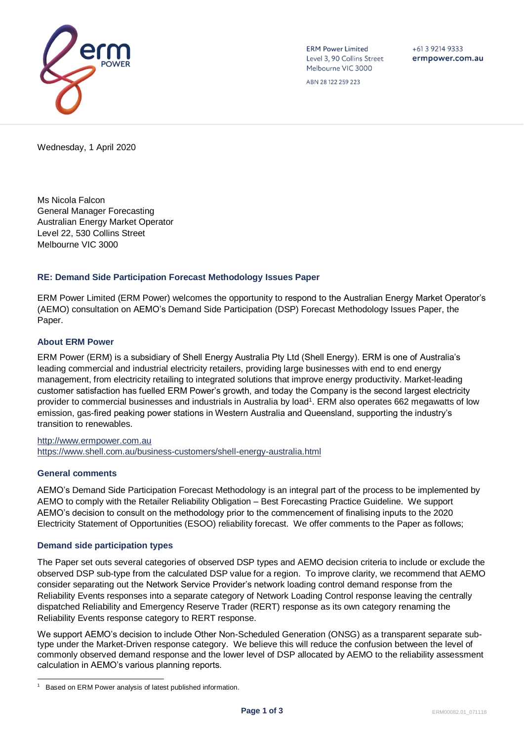

**ERM Power Limited** Level 3, 90 Collins Street Melbourne VIC 3000

 $+61$  3 9214 9333 ermpower.com.au

ABN 28 122 259 223

Wednesday, 1 April 2020

Ms Nicola Falcon General Manager Forecasting Australian Energy Market Operator Level 22, 530 Collins Street Melbourne VIC 3000

## **RE: Demand Side Participation Forecast Methodology Issues Paper**

ERM Power Limited (ERM Power) welcomes the opportunity to respond to the Australian Energy Market Operator's (AEMO) consultation on AEMO's Demand Side Participation (DSP) Forecast Methodology Issues Paper, the Paper.

### **About ERM Power**

ERM Power (ERM) is a subsidiary of Shell Energy Australia Pty Ltd (Shell Energy). ERM is one of Australia's leading commercial and industrial electricity retailers, providing large businesses with end to end energy management, from electricity retailing to integrated solutions that improve energy productivity. Market-leading customer satisfaction has fuelled ERM Power's growth, and today the Company is the second largest electricity provider to commercial businesses and industrials in Australia by load<sup>1</sup>. ERM also operates 662 megawatts of low emission, gas-fired peaking power stations in Western Australia and Queensland, supporting the industry's transition to renewables.

[http://www.ermpower.com.au](http://www.ermpower.com.au/) <https://www.shell.com.au/business-customers/shell-energy-australia.html>

#### **General comments**

AEMO's Demand Side Participation Forecast Methodology is an integral part of the process to be implemented by AEMO to comply with the Retailer Reliability Obligation – Best Forecasting Practice Guideline. We support AEMO's decision to consult on the methodology prior to the commencement of finalising inputs to the 2020 Electricity Statement of Opportunities (ESOO) reliability forecast. We offer comments to the Paper as follows;

## **Demand side participation types**

The Paper set outs several categories of observed DSP types and AEMO decision criteria to include or exclude the observed DSP sub-type from the calculated DSP value for a region. To improve clarity, we recommend that AEMO consider separating out the Network Service Provider's network loading control demand response from the Reliability Events responses into a separate category of Network Loading Control response leaving the centrally dispatched Reliability and Emergency Reserve Trader (RERT) response as its own category renaming the Reliability Events response category to RERT response.

We support AEMO's decision to include Other Non-Scheduled Generation (ONSG) as a transparent separate subtype under the Market-Driven response category. We believe this will reduce the confusion between the level of commonly observed demand response and the lower level of DSP allocated by AEMO to the reliability assessment calculation in AEMO's various planning reports.

<sup>&</sup>lt;sup>1</sup> Based on ERM Power analysis of latest published information.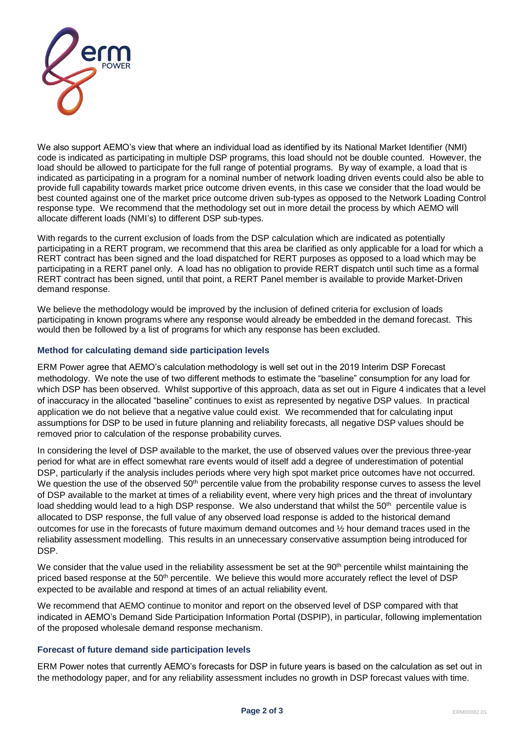

We also support AEMO's view that where an individual load as identified by its National Market Identifier (NMI) code is indicated as participating in multiple DSP programs, this load should not be double counted. However, the load should be allowed to participate for the full range of potential programs. By way of example, a load that is indicated as participating in a program for a nominal number of network loading driven events could also be able to provide full capability towards market price outcome driven events, in this case we consider that the load would be best counted against one of the market price outcome driven sub-types as opposed to the Network Loading Control response type. We recommend that the methodology set out in more detail the process by which AEMO will allocate different loads (NMI's) to different DSP sub-types.

With regards to the current exclusion of loads from the DSP calculation which are indicated as potentially participating in a RERT program, we recommend that this area be clarified as only applicable for a load for which a RERT contract has been signed and the load dispatched for RERT purposes as opposed to a load which may be participating in a RERT panel only. A load has no obligation to provide RERT dispatch until such time as a formal RERT contract has been signed, until that point, a RERT Panel member is available to provide Market-Driven demand response.

We believe the methodology would be improved by the inclusion of defined criteria for exclusion of loads participating in known programs where any response would already be embedded in the demand forecast. This would then be followed by a list of programs for which any response has been excluded.

# **Method for calculating demand side participation levels**

ERM Power agree that AEMO's calculation methodology is well set out in the 2019 Interim DSP Forecast methodology. We note the use of two different methods to estimate the "baseline" consumption for any load for which DSP has been observed. Whilst supportive of this approach, data as set out in Figure 4 indicates that a level of inaccuracy in the allocated "baseline" continues to exist as represented by negative DSP values. In practical application we do not believe that a negative value could exist. We recommended that for calculating input assumptions for DSP to be used in future planning and reliability forecasts, all negative DSP values should be removed prior to calculation of the response probability curves.

In considering the level of DSP available to the market, the use of observed values over the previous three-year period for what are in effect somewhat rare events would of itself add a degree of underestimation of potential DSP, particularly if the analysis includes periods where very high spot market price outcomes have not occurred. We question the use of the observed 50<sup>th</sup> percentile value from the probability response curves to assess the level of DSP available to the market at times of a reliability event, where very high prices and the threat of involuntary load shedding would lead to a high DSP response. We also understand that whilst the 50<sup>th</sup> percentile value is allocated to DSP response, the full value of any observed load response is added to the historical demand outcomes for use in the forecasts of future maximum demand outcomes and ½ hour demand traces used in the reliability assessment modelling. This results in an unnecessary conservative assumption being introduced for DSP.

We consider that the value used in the reliability assessment be set at the 90<sup>th</sup> percentile whilst maintaining the priced based response at the 50<sup>th</sup> percentile. We believe this would more accurately reflect the level of DSP expected to be available and respond at times of an actual reliability event.

We recommend that AEMO continue to monitor and report on the observed level of DSP compared with that indicated in AEMO's Demand Side Participation Information Portal (DSPIP), in particular, following implementation of the proposed wholesale demand response mechanism.

## **Forecast of future demand side participation levels**

ERM Power notes that currently AEMO's forecasts for DSP in future years is based on the calculation as set out in the methodology paper, and for any reliability assessment includes no growth in DSP forecast values with time.